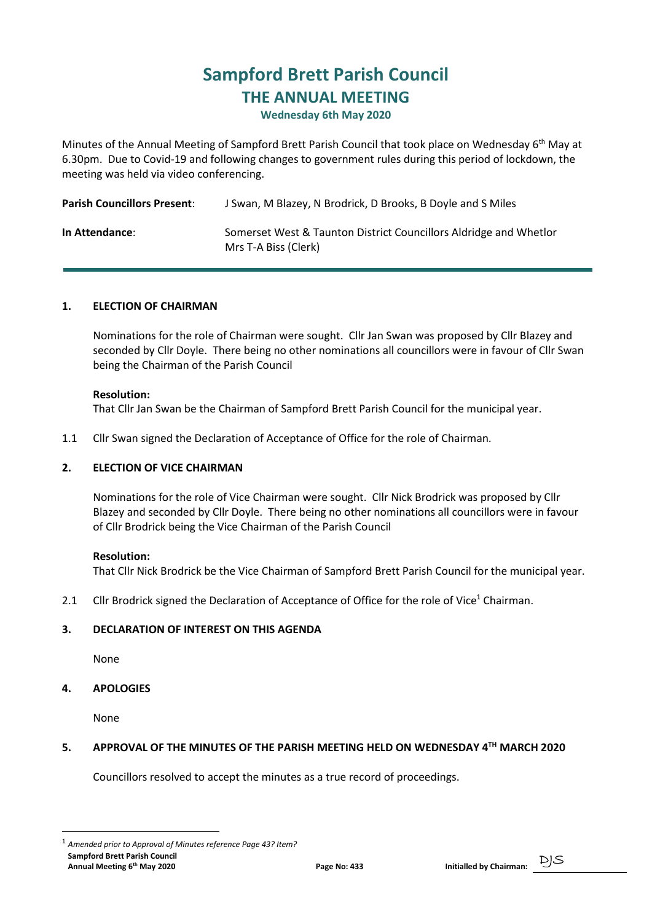# Sampford Brett Parish Council THE ANNUAL MEETING

#### Wednesday 6th May 2020

Minutes of the Annual Meeting of Sampford Brett Parish Council that took place on Wednesday 6<sup>th</sup> May at 6.30pm. Due to Covid-19 and following changes to government rules during this period of lockdown, the meeting was held via video conferencing.

| <b>Parish Councillors Present:</b> | J Swan, M Blazey, N Brodrick, D Brooks, B Doyle and S Miles                               |
|------------------------------------|-------------------------------------------------------------------------------------------|
| In Attendance:                     | Somerset West & Taunton District Councillors Aldridge and Whetlor<br>Mrs T-A Biss (Clerk) |

# 1. ELECTION OF CHAIRMAN

 Nominations for the role of Chairman were sought. Cllr Jan Swan was proposed by Cllr Blazey and seconded by Cllr Doyle. There being no other nominations all councillors were in favour of Cllr Swan being the Chairman of the Parish Council

#### Resolution:

That Cllr Jan Swan be the Chairman of Sampford Brett Parish Council for the municipal year.

1.1 Cllr Swan signed the Declaration of Acceptance of Office for the role of Chairman.

#### 2. ELECTION OF VICE CHAIRMAN

 Nominations for the role of Vice Chairman were sought. Cllr Nick Brodrick was proposed by Cllr Blazey and seconded by Cllr Doyle. There being no other nominations all councillors were in favour of Cllr Brodrick being the Vice Chairman of the Parish Council

#### Resolution:

That Cllr Nick Brodrick be the Vice Chairman of Sampford Brett Parish Council for the municipal year.

2.1 Cllr Brodrick signed the Declaration of Acceptance of Office for the role of Vice<sup>1</sup> Chairman.

#### 3. DECLARATION OF INTEREST ON THIS AGENDA

None

#### 4. APOLOGIES

None

#### 5. APPROVAL OF THE MINUTES OF THE PARISH MEETING HELD ON WEDNESDAY 4TH MARCH 2020

Councillors resolved to accept the minutes as a true record of proceedings.

Sampford Brett Parish Council Samptord Brett Parish Council<br>Annual Meeting 6<sup>th</sup> May 2020 **Page No: 433** Initialled by Chairman: PJS <sup>1</sup> Amended prior to Approval of Minutes reference Page 43? Item?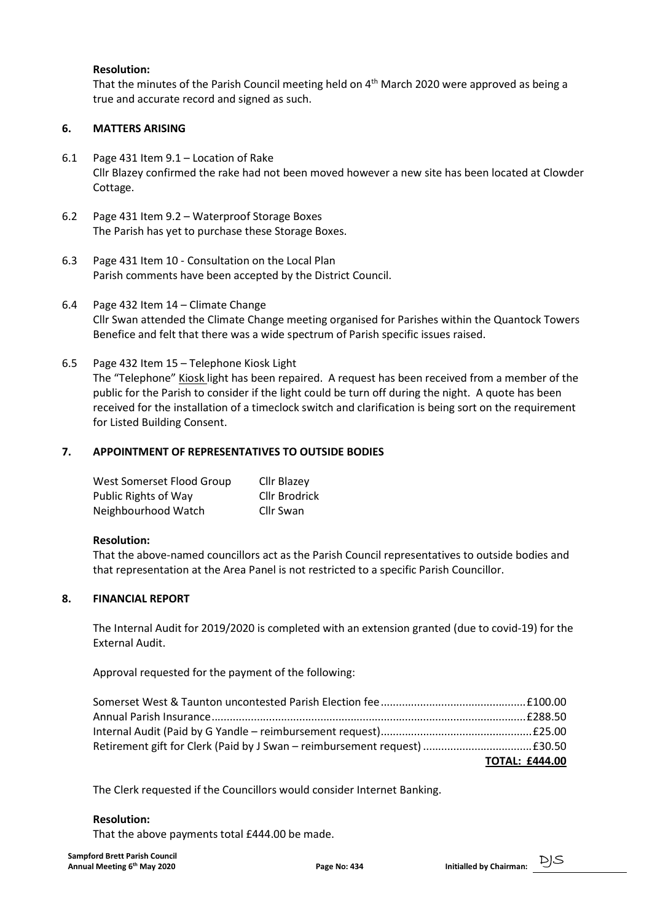### Resolution:

That the minutes of the Parish Council meeting held on  $4<sup>th</sup>$  March 2020 were approved as being a true and accurate record and signed as such.

# 6. MATTERS ARISING

- 6.1 Page 431 Item 9.1 Location of Rake Cllr Blazey confirmed the rake had not been moved however a new site has been located at Clowder Cottage.
- 6.2 Page 431 Item 9.2 Waterproof Storage Boxes The Parish has yet to purchase these Storage Boxes.
- 6.3 Page 431 Item 10 Consultation on the Local Plan Parish comments have been accepted by the District Council.
- 6.4 Page 432 Item 14 Climate Change Cllr Swan attended the Climate Change meeting organised for Parishes within the Quantock Towers Benefice and felt that there was a wide spectrum of Parish specific issues raised.
- 6.5 Page 432 Item 15 Telephone Kiosk Light The "Telephone" Kiosk light has been repaired. A request has been received from a member of the public for the Parish to consider if the light could be turn off during the night. A quote has been received for the installation of a timeclock switch and clarification is being sort on the requirement for Listed Building Consent.

# 7. APPOINTMENT OF REPRESENTATIVES TO OUTSIDE BODIES

| West Somerset Flood Group   | Cllr Blazey          |
|-----------------------------|----------------------|
| <b>Public Rights of Way</b> | <b>Cllr Brodrick</b> |
| Neighbourhood Watch         | Cllr Swan            |

#### Resolution:

 That the above-named councillors act as the Parish Council representatives to outside bodies and that representation at the Area Panel is not restricted to a specific Parish Councillor.

#### 8. FINANCIAL REPORT

 The Internal Audit for 2019/2020 is completed with an extension granted (due to covid-19) for the External Audit.

Approval requested for the payment of the following:

| <b>TOTAL: £444.00</b> |
|-----------------------|

The Clerk requested if the Councillors would consider Internet Banking.

#### Resolution:

That the above payments total £444.00 be made.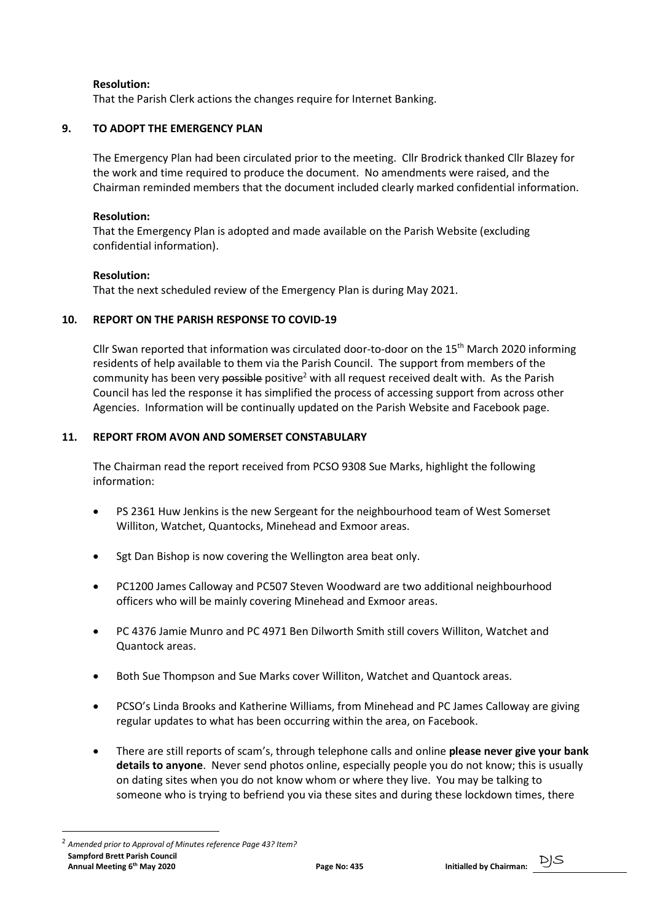# Resolution:

That the Parish Clerk actions the changes require for Internet Banking.

# 9. TO ADOPT THE EMERGENCY PLAN

 The Emergency Plan had been circulated prior to the meeting. Cllr Brodrick thanked Cllr Blazey for the work and time required to produce the document. No amendments were raised, and the Chairman reminded members that the document included clearly marked confidential information.

### Resolution:

 That the Emergency Plan is adopted and made available on the Parish Website (excluding confidential information).

# Resolution:

That the next scheduled review of the Emergency Plan is during May 2021.

# 10. REPORT ON THE PARISH RESPONSE TO COVID-19

Cllr Swan reported that information was circulated door-to-door on the 15<sup>th</sup> March 2020 informing residents of help available to them via the Parish Council. The support from members of the community has been very possible positive<sup>2</sup> with all request received dealt with. As the Parish Council has led the response it has simplified the process of accessing support from across other Agencies. Information will be continually updated on the Parish Website and Facebook page.

# 11. REPORT FROM AVON AND SOMERSET CONSTABULARY

 The Chairman read the report received from PCSO 9308 Sue Marks, highlight the following information:

- PS 2361 Huw Jenkins is the new Sergeant for the neighbourhood team of West Somerset Williton, Watchet, Quantocks, Minehead and Exmoor areas.
- Sgt Dan Bishop is now covering the Wellington area beat only.
- PC1200 James Calloway and PC507 Steven Woodward are two additional neighbourhood officers who will be mainly covering Minehead and Exmoor areas.
- PC 4376 Jamie Munro and PC 4971 Ben Dilworth Smith still covers Williton, Watchet and Quantock areas.
- Both Sue Thompson and Sue Marks cover Williton, Watchet and Quantock areas.
- PCSO's Linda Brooks and Katherine Williams, from Minehead and PC James Calloway are giving regular updates to what has been occurring within the area, on Facebook.
- There are still reports of scam's, through telephone calls and online please never give your bank details to anyone. Never send photos online, especially people you do not know; this is usually on dating sites when you do not know whom or where they live. You may be talking to someone who is trying to befriend you via these sites and during these lockdown times, there

Sampford Brett Parish Council Samptord Brett Parish Council<br>Annual Meeting 6<sup>th</sup> May 2020 **Page No: 435** Page No: 435 Initialled by Chairman: DJS <sup>2</sup> Amended prior to Approval of Minutes reference Page 43? Item?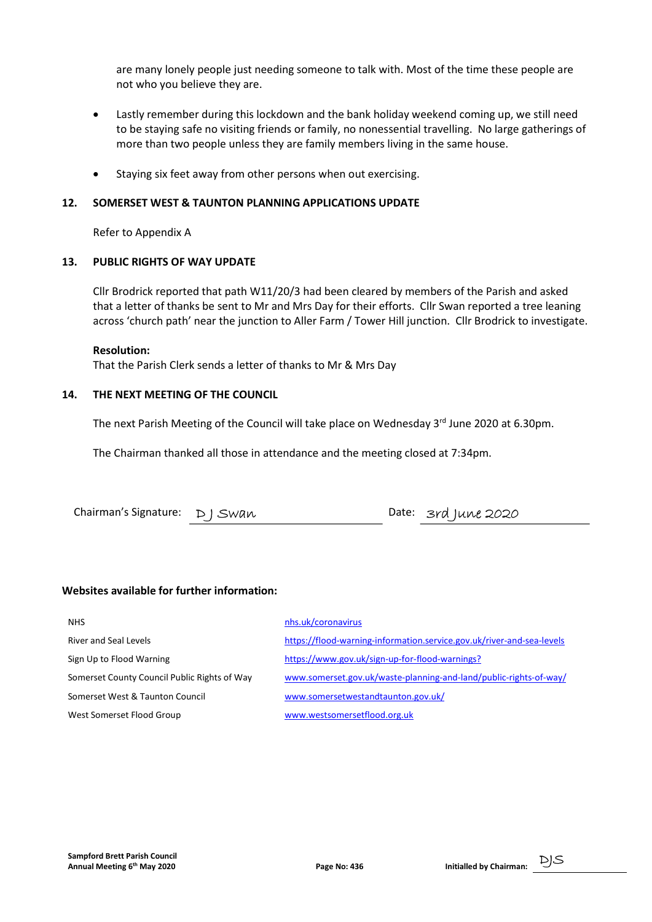are many lonely people just needing someone to talk with. Most of the time these people are not who you believe they are.

- Lastly remember during this lockdown and the bank holiday weekend coming up, we still need to be staying safe no visiting friends or family, no nonessential travelling. No large gatherings of more than two people unless they are family members living in the same house.
- Staying six feet away from other persons when out exercising.

### 12. SOMERSET WEST & TAUNTON PLANNING APPLICATIONS UPDATE

Refer to Appendix A

# 13. PUBLIC RIGHTS OF WAY UPDATE

 Cllr Brodrick reported that path W11/20/3 had been cleared by members of the Parish and asked that a letter of thanks be sent to Mr and Mrs Day for their efforts. Cllr Swan reported a tree leaning across 'church path' near the junction to Aller Farm / Tower Hill junction. Cllr Brodrick to investigate.

#### Resolution:

That the Parish Clerk sends a letter of thanks to Mr & Mrs Day

# 14. THE NEXT MEETING OF THE COUNCIL

The next Parish Meeting of the Council will take place on Wednesday  $3<sup>rd</sup>$  June 2020 at 6.30pm.

The Chairman thanked all those in attendance and the meeting closed at 7:34pm.

# Websites available for further information:

| <b>NHS</b>                                   | nhs.uk/coronavirus                                                    |
|----------------------------------------------|-----------------------------------------------------------------------|
| River and Seal Levels                        | https://flood-warning-information.service.gov.uk/river-and-sea-levels |
| Sign Up to Flood Warning                     | https://www.gov.uk/sign-up-for-flood-warnings?                        |
| Somerset County Council Public Rights of Way | www.somerset.gov.uk/waste-planning-and-land/public-rights-of-way/     |
| Somerset West & Taunton Council              | www.somersetwestandtaunton.gov.uk/                                    |
| West Somerset Flood Group                    | www.westsomersetflood.org.uk                                          |